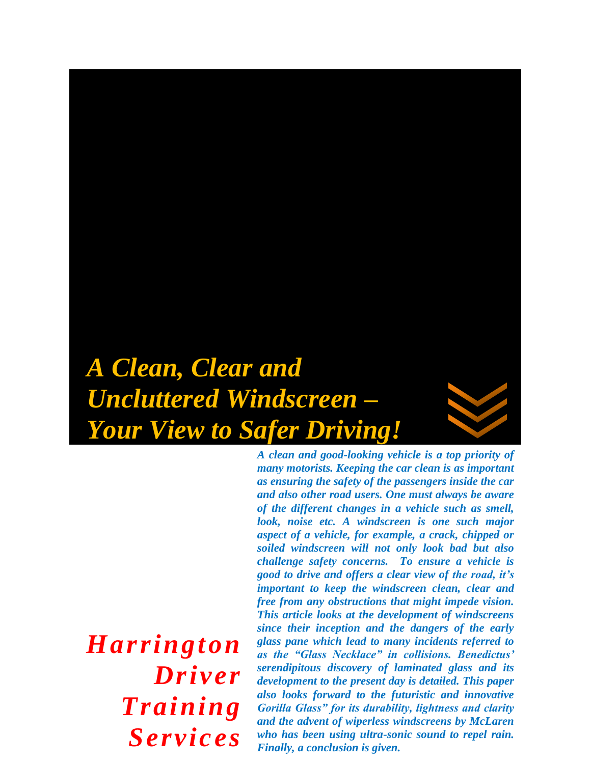# *A Clean, Clear and Uncluttered Windscreen – Your View to Safer Driving!*

*Harrington Driver Training Services*

*A clean and good-looking vehicle is a top priority of many motorists. Keeping the car clean is as important as ensuring the safety of the passengers inside the car and also other road users. One must always be aware of the different changes in a vehicle such as smell, look, noise etc. A windscreen is one such major aspect of a vehicle, for example, a crack, chipped or soiled windscreen will not only look bad but also challenge safety concerns. To ensure a vehicle is good to drive and offers a clear view of the road, it's important to keep the windscreen clean, clear and free from any obstructions that might impede vision. This article looks at the development of windscreens since their inception and the dangers of the early glass pane which lead to many incidents referred to as the "Glass Necklace" in collisions. Benedictus' serendipitous discovery of laminated glass and its development to the present day is detailed. This paper also looks forward to the futuristic and innovative Gorilla Glass" for its durability, lightness and clarity and the advent of wiperless windscreens by McLaren who has been using ultra-sonic sound to repel rain. Finally, a conclusion is given.*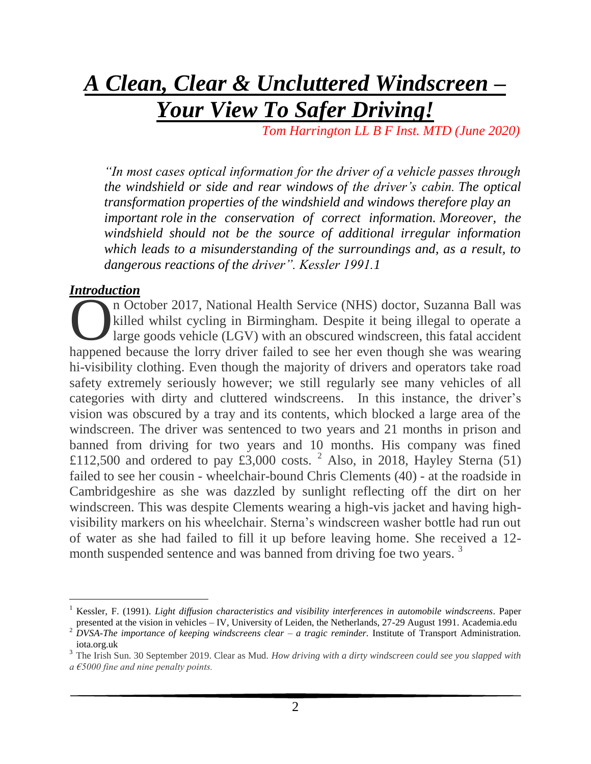## *A Clean, Clear & Uncluttered Windscreen – Your View To Safer Driving!*

 *Tom Harrington LL B F Inst. MTD (June 2020)*

*"In most cases optical information for the driver of a vehicle passes through the windshield or side and rear windows of the driver's cabin. The optical transformation properties of the windshield and windows therefore play an important role in the conservation of correct information. Moreover, the windshield should not be the source of additional irregular information which leads to a misunderstanding of the surroundings and, as a result, to dangerous reactions of the driver". Kessler 1991.1*

#### *Introduction*

 $\overline{a}$ 

n October 2017, National Health Service (NHS) doctor, Suzanna Ball was killed whilst cycling in Birmingham. Despite it being illegal to operate a large goods vehicle (LGV) with an obscured windscreen, this fatal accident n October 2017, National Health Service (NHS) doctor, Suzanna Ball was<br>killed whilst cycling in Birmingham. Despite it being illegal to operate a<br>large goods vehicle (LGV) with an obscured windscreen, this fatal accident<br>h hi-visibility clothing. Even though the majority of drivers and operators take road safety extremely seriously however; we still regularly see many vehicles of all categories with dirty and cluttered windscreens. In this instance, the driver's vision was obscured by a tray and its contents, which blocked a large area of the windscreen. The driver was sentenced to two years and 21 months in prison and banned from driving for two years and 10 months. His company was fined £112,500 and ordered to pay £3,000 costs. <sup>2</sup> Also, in 2018, Hayley Sterna (51) failed to see her cousin - wheelchair-bound Chris Clements (40) - at the roadside in Cambridgeshire as she was dazzled by sunlight reflecting off the dirt on her windscreen. This was despite Clements wearing a high-vis jacket and having highvisibility markers on his wheelchair. Sterna's windscreen washer bottle had run out of water as she had failed to fill it up before leaving home. She received a 12 month suspended sentence and was banned from driving foe two years.<sup>3</sup>

<sup>1</sup> Kessler, F. (1991). *Light diffusion characteristics and visibility interferences in automobile windscreens*. Paper presented at the vision in vehicles – IV, University of Leiden, the Netherlands, 27-29 August 1991. Academia.edu

<sup>2</sup> *DVSA-The importance of keeping windscreens clear – a tragic reminder.* Institute of Transport Administration. iota.org.uk

<sup>&</sup>lt;sup>3</sup> The Irish Sun. 30 September 2019. Clear as Mud. *How driving with a dirty windscreen could see you slapped with a €5000 fine and nine penalty points.*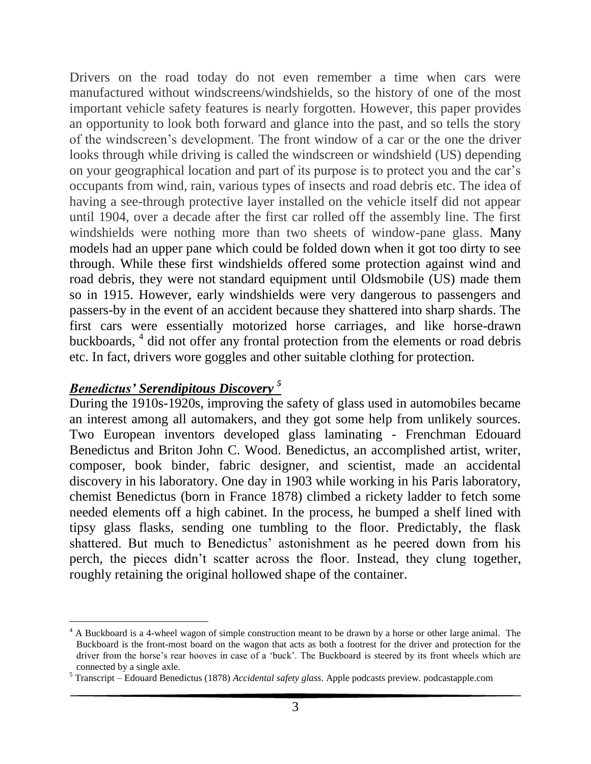Drivers on the road today do not even remember a time when cars were manufactured without windscreens/windshields, so the history of one of the most important vehicle safety features is nearly forgotten. However, this paper provides an opportunity to look both forward and glance into the past, and so tells the story of the windscreen's development. The front window of a car or the one the driver looks through while driving is called the windscreen or windshield (US) depending on your geographical location and part of its purpose is to protect you and the car's occupants from wind, rain, various types of insects and road debris etc. The idea of having a see-through protective layer installed on the vehicle itself did not appear until 1904, over a decade after the first car rolled off the assembly line. The first windshields were nothing more than two sheets of window-pane glass. Many models had an upper pane which could be folded down when it got too dirty to see through. While these first windshields offered some protection against wind and road debris, they were not standard equipment until Oldsmobile (US) made them so in 1915. However, early windshields were very dangerous to passengers and passers-by in the event of an accident because they shattered into sharp shards. The first cars were essentially motorized horse carriages, and like horse-drawn buckboards, 4 did not offer any frontal protection from the elements or road debris etc. In fact, drivers wore goggles and other suitable clothing for protection.

### *Benedictus' Serendipitous Discovery <sup>5</sup>*

 $\overline{a}$ 

During the 1910s-1920s, improving the safety of glass used in automobiles became an interest among all automakers, and they got some help from unlikely sources. Two European inventors developed glass laminating - Frenchman Edouard Benedictus and Briton John C. Wood. Benedictus, an accomplished artist, writer, composer, book binder, fabric designer, and scientist, made an accidental discovery in his laboratory. One day in 1903 while working in his Paris laboratory, chemist Benedictus (born in France 1878) climbed a rickety ladder to fetch some needed elements off a high cabinet. In the process, he bumped a shelf lined with tipsy glass flasks, sending one tumbling to the floor. Predictably, the flask shattered. But much to Benedictus' astonishment as he peered down from his perch, the pieces didn't scatter across the floor. Instead, they clung together, roughly retaining the original hollowed shape of the container.

 $4$  A Buckboard is a 4-wheel wagon of simple construction meant to be drawn by a horse or other large animal. The Buckboard is the front-most board on the wagon that acts as both a footrest for the driver and protection for the driver from the horse's rear hooves in case of a 'buck'. The Buckboard is steered by its front wheels which are connected by a single axle.

<sup>5</sup> Transcript – Edouard Benedictus (1878) *Accidental safety glass*. Apple podcasts preview. podcastapple.com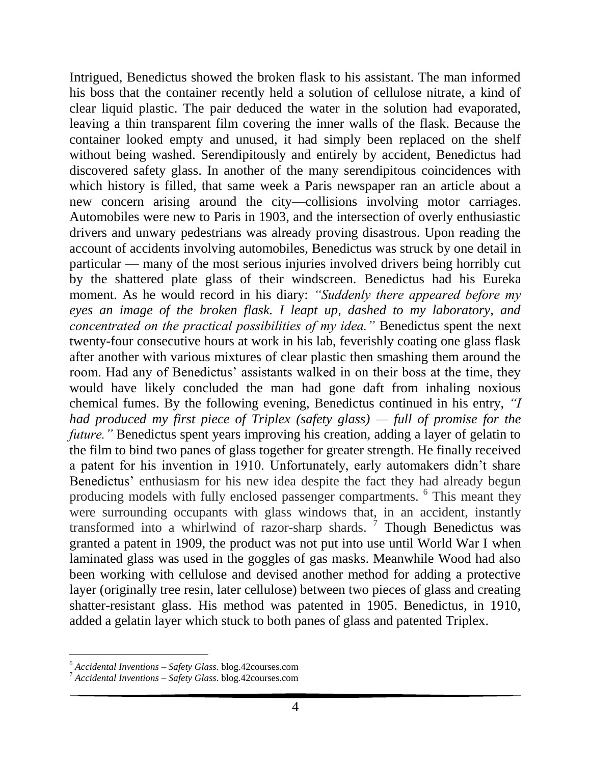Intrigued, Benedictus showed the broken flask to his assistant. The man informed his boss that the container recently held a solution of cellulose nitrate, a kind of clear liquid plastic. The pair deduced the water in the solution had evaporated, leaving a thin transparent film covering the inner walls of the flask. Because the container looked empty and unused, it had simply been replaced on the shelf without being washed. Serendipitously and entirely by accident, Benedictus had discovered safety glass. In another of the many serendipitous coincidences with which history is filled, that same week a Paris newspaper ran an article about a new concern arising around the city—collisions involving motor carriages. Automobiles were new to Paris in 1903, and the intersection of overly enthusiastic drivers and unwary pedestrians was already proving disastrous. Upon reading the account of accidents involving automobiles, Benedictus was struck by one detail in particular — many of the most serious injuries involved drivers being horribly cut by the shattered plate glass of their windscreen. Benedictus had his Eureka moment. As he would record in his diary: *"Suddenly there appeared before my eyes an image of the broken flask. I leapt up, dashed to my laboratory, and concentrated on the practical possibilities of my idea."* Benedictus spent the next twenty-four consecutive hours at work in his lab, feverishly coating one glass flask after another with various mixtures of clear plastic then smashing them around the room. Had any of Benedictus' assistants walked in on their boss at the time, they would have likely concluded the man had gone daft from inhaling noxious chemical fumes. By the following evening, Benedictus continued in his entry, *"I had produced my first piece of Triplex (safety glass) — full of promise for the future.*" Benedictus spent years improving his creation, adding a layer of gelatin to the film to bind two panes of glass together for greater strength. He finally received a patent for his invention in 1910. Unfortunately, early automakers didn't share Benedictus' enthusiasm for his new idea despite the fact they had already begun producing models with fully enclosed passenger compartments. <sup>6</sup> This meant they were surrounding occupants with glass windows that, in an accident, instantly transformed into a whirlwind of razor-sharp shards.  $7$  Though Benedictus was granted a patent in 1909, the product was not put into use until World War I when laminated glass was used in the goggles of gas masks. Meanwhile Wood had also been working with cellulose and devised another method for adding a protective layer (originally tree resin, later cellulose) between two pieces of glass and creating shatter-resistant glass. His method was patented in 1905. Benedictus, in 1910, added a gelatin layer which stuck to both panes of glass and patented Triplex.

l

<sup>6</sup> *Accidental Inventions – Safety Glass*. blog.42courses.com

<sup>7</sup> *Accidental Inventions – Safety Glass*. blog.42courses.com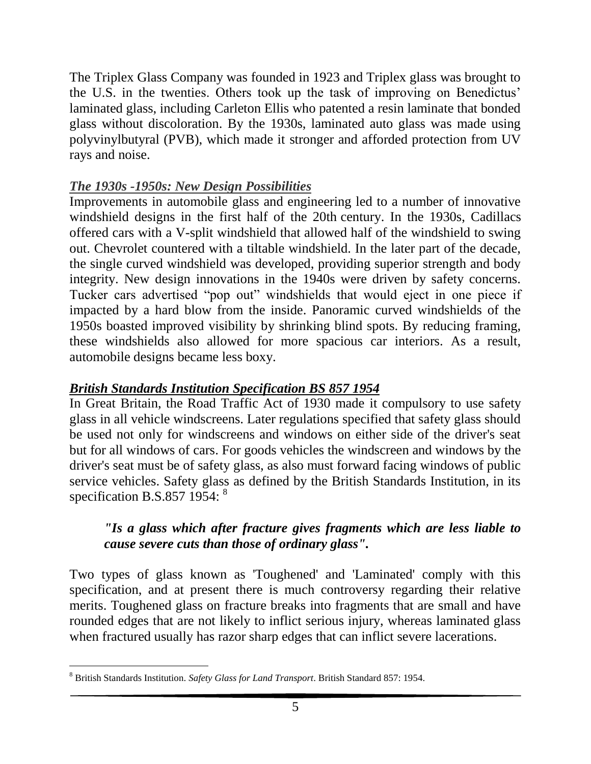The Triplex Glass Company was founded in 1923 and Triplex glass was brought to the U.S. in the twenties. Others took up the task of improving on Benedictus' laminated glass, including Carleton Ellis who patented a resin laminate that bonded glass without discoloration. By the 1930s, laminated auto glass was made using polyvinylbutyral (PVB), which made it stronger and afforded protection from UV rays and noise.

## *The 1930s -1950s: New Design Possibilities*

Improvements in automobile glass and engineering led to a number of innovative windshield designs in the first half of the 20th century. In the 1930s, Cadillacs offered cars with a V-split windshield that allowed half of the windshield to swing out. Chevrolet countered with a tiltable windshield. In the later part of the decade, the single curved windshield was developed, providing superior strength and body integrity. New design innovations in the 1940s were driven by safety concerns. Tucker cars advertised "pop out" windshields that would eject in one piece if impacted by a hard blow from the inside. Panoramic curved windshields of the 1950s boasted improved visibility by shrinking blind spots. By reducing framing, these windshields also allowed for more spacious car interiors. As a result, automobile designs became less boxy.

## *British Standards Institution Specification BS 857 1954*

In Great Britain, the Road Traffic Act of 1930 made it compulsory to use safety glass in all vehicle windscreens. Later regulations specified that safety glass should be used not only for windscreens and windows on either side of the driver's seat but for all windows of cars. For goods vehicles the windscreen and windows by the driver's seat must be of safety glass, as also must forward facing windows of public service vehicles. Safety glass as defined by the British Standards Institution, in its specification B.S.857 1954:  $8$ 

## *"Is a glass which after fracture gives fragments which are less liable to cause severe cuts than those of ordinary glass".*

Two types of glass known as 'Toughened' and 'Laminated' comply with this specification, and at present there is much controversy regarding their relative merits. Toughened glass on fracture breaks into fragments that are small and have rounded edges that are not likely to inflict serious injury, whereas laminated glass when fractured usually has razor sharp edges that can inflict severe lacerations.

 $\overline{a}$ <sup>8</sup> British Standards Institution. *Safety Glass for Land Transport*. British Standard 857: 1954.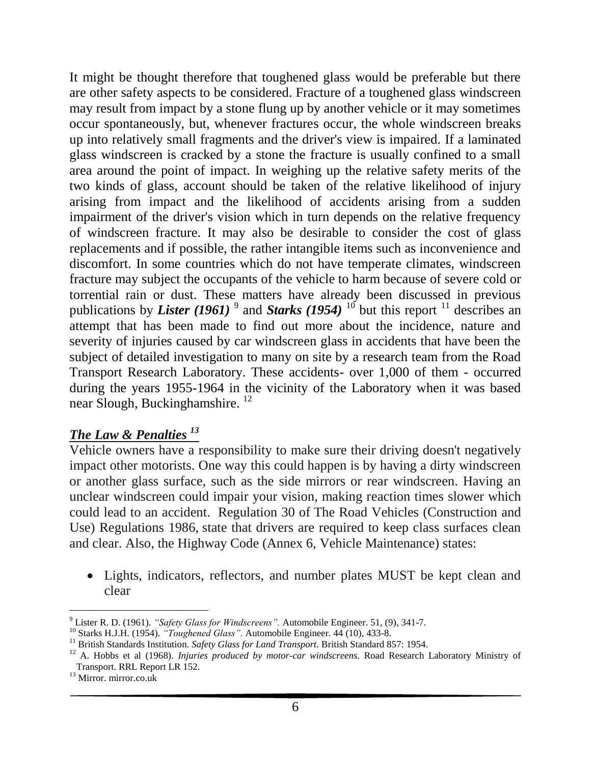It might be thought therefore that toughened glass would be preferable but there are other safety aspects to be considered. Fracture of a toughened glass windscreen may result from impact by a stone flung up by another vehicle or it may sometimes occur spontaneously, but, whenever fractures occur, the whole windscreen breaks up into relatively small fragments and the driver's view is impaired. If a laminated glass windscreen is cracked by a stone the fracture is usually confined to a small area around the point of impact. In weighing up the relative safety merits of the two kinds of glass, account should be taken of the relative likelihood of injury arising from impact and the likelihood of accidents arising from a sudden impairment of the driver's vision which in turn depends on the relative frequency of windscreen fracture. It may also be desirable to consider the cost of glass replacements and if possible, the rather intangible items such as inconvenience and discomfort. In some countries which do not have temperate climates, windscreen fracture may subject the occupants of the vehicle to harm because of severe cold or torrential rain or dust. These matters have already been discussed in previous publications by *Lister* (1961)<sup>9</sup> and *Starks* (1954)<sup>10</sup> but this report<sup>11</sup> describes an attempt that has been made to find out more about the incidence, nature and severity of injuries caused by car windscreen glass in accidents that have been the subject of detailed investigation to many on site by a research team from the Road Transport Research Laboratory. These accidents- over 1,000 of them - occurred during the years 1955-1964 in the vicinity of the Laboratory when it was based near Slough, Buckinghamshire. <sup>12</sup>

### *The Law & Penalties <sup>13</sup>*

Vehicle owners have a responsibility to make sure their driving doesn't negatively impact other motorists. One way this could happen is by having a dirty windscreen or another glass surface, such as the side mirrors or rear windscreen. Having an unclear windscreen could impair your vision, making reaction times slower which could lead to an accident. Regulation 30 of The Road Vehicles (Construction and Use) Regulations 1986, state that drivers are required to keep class surfaces clean and clear. Also, the Highway Code (Annex 6, Vehicle Maintenance) states:

 Lights, indicators, reflectors, and number plates MUST be kept clean and clear

l <sup>9</sup> Lister R. D. (1961). *"Safety Glass for Windscreens".* Automobile Engineer. 51, (9), 341-7.

<sup>10</sup> Starks H.J.H. (1954). *"Toughened Glass".* Automobile Engineer. 44 (10), 433-8.

<sup>&</sup>lt;sup>11</sup> British Standards Institution. *Safety Glass for Land Transport*. British Standard 857: 1954.

<sup>12</sup> A. Hobbs et al (1968). *Injuries produced by motor-car windscreens*. Road Research Laboratory Ministry of Transport. RRL Report LR 152.

 $13$  Mirror. mirror.co.uk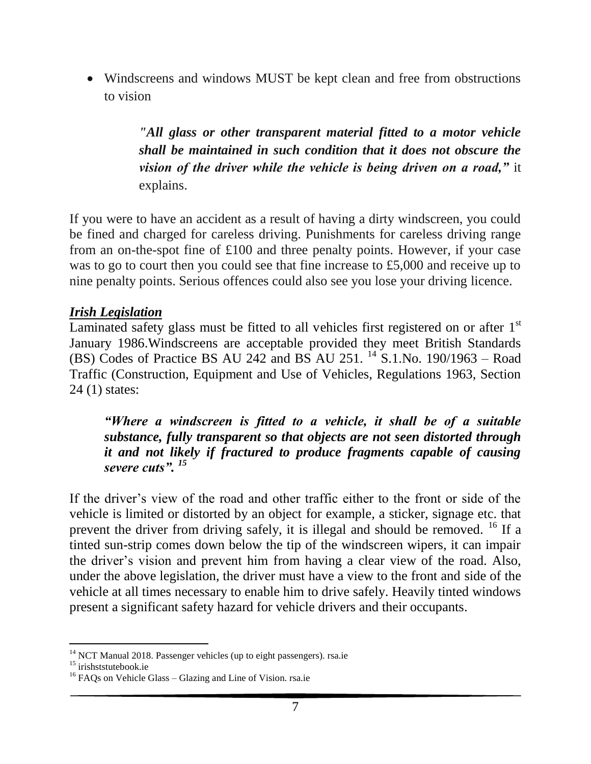Windscreens and windows MUST be kept clean and free from obstructions to vision

> *"All glass or other transparent material fitted to a motor vehicle shall be maintained in such condition that it does not obscure the vision of the driver while the vehicle is being driven on a road,"* it explains.

If you were to have an accident as a result of having a dirty windscreen, you could be fined and charged for careless driving. Punishments for careless driving range from an on-the-spot fine of £100 and three penalty points. However, if your case was to go to court then you could see that fine increase to £5,000 and receive up to nine penalty points. Serious offences could also see you lose your driving licence.

## *Irish Legislation*

Laminated safety glass must be fitted to all vehicles first registered on or after  $1<sup>st</sup>$ January 1986.Windscreens are acceptable provided they meet British Standards (BS) Codes of Practice BS AU 242 and BS AU 251. <sup>14</sup> S.1.No. 190/1963 – Road Traffic (Construction, Equipment and Use of Vehicles, Regulations 1963, Section 24 (1) states:

*"Where a windscreen is fitted to a vehicle, it shall be of a suitable substance, fully transparent so that objects are not seen distorted through it and not likely if fractured to produce fragments capable of causing severe cuts". <sup>15</sup>*

If the driver's view of the road and other traffic either to the front or side of the vehicle is limited or distorted by an object for example, a sticker, signage etc. that prevent the driver from driving safely, it is illegal and should be removed. <sup>16</sup> If a tinted sun-strip comes down below the tip of the windscreen wipers, it can impair the driver's vision and prevent him from having a clear view of the road. Also, under the above legislation, the driver must have a view to the front and side of the vehicle at all times necessary to enable him to drive safely. Heavily tinted windows present a significant safety hazard for vehicle drivers and their occupants.

l

<sup>&</sup>lt;sup>14</sup> NCT Manual 2018. Passenger vehicles (up to eight passengers). rsa.ie

<sup>&</sup>lt;sup>15</sup> irishststutebook.ie

<sup>&</sup>lt;sup>16</sup> FAQs on Vehicle Glass – Glazing and Line of Vision. rsa.ie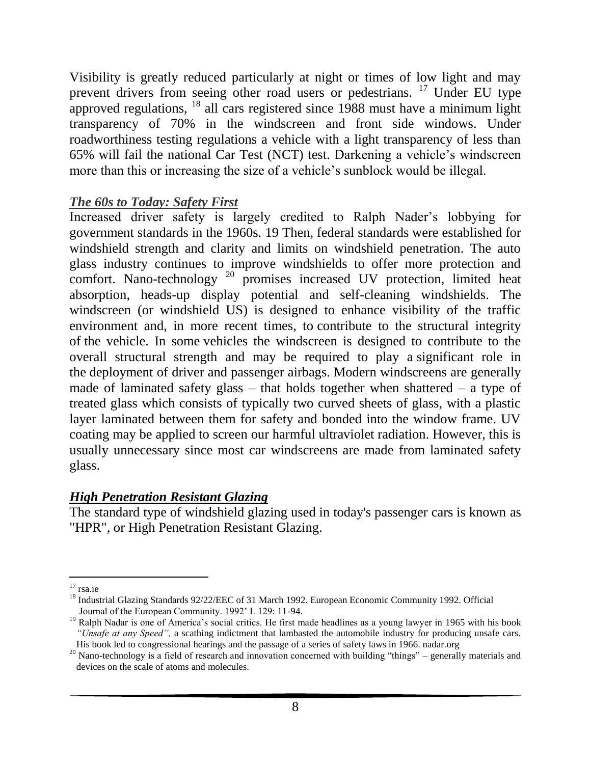Visibility is greatly reduced particularly at night or times of low light and may prevent drivers from seeing other road users or pedestrians. <sup>17</sup> Under EU type approved regulations,  $^{18}$  all cars registered since 1988 must have a minimum light transparency of 70% in the windscreen and front side windows. Under roadworthiness testing regulations a vehicle with a light transparency of less than 65% will fail the national Car Test (NCT) test. Darkening a vehicle's windscreen more than this or increasing the size of a vehicle's sunblock would be illegal.

### *The 60s to Today: Safety First*

Increased driver safety is largely credited to Ralph Nader's lobbying for government standards in the 1960s. 19 Then, federal standards were established for windshield strength and clarity and limits on windshield penetration. The auto glass industry continues to improve windshields to offer more protection and comfort. Nano-technology  $20$  promises increased UV protection, limited heat absorption, heads-up display potential and self-cleaning windshields. The windscreen (or windshield US) is designed to enhance visibility of the traffic environment and, in more recent times, to contribute to the structural integrity of the vehicle. In some vehicles the windscreen is designed to contribute to the overall structural strength and may be required to play a significant role in the deployment of driver and passenger airbags. Modern windscreens are generally made of laminated safety glass – that holds together when shattered – a type of treated glass which consists of typically two curved sheets of glass, with a plastic layer laminated between them for safety and bonded into the window frame. UV coating may be applied to screen our harmful ultraviolet radiation. However, this is usually unnecessary since most car windscreens are made from laminated safety glass.

## *High Penetration Resistant Glazing*

The standard type of windshield glazing used in today's passenger cars is known as "HPR", or High Penetration Resistant Glazing.

l  $17$  rsa.ie

<sup>&</sup>lt;sup>18</sup> Industrial Glazing Standards 92/22/EEC of 31 March 1992. European Economic Community 1992. Official Journal of the European Community. 1992' L 129: 11-94.

<sup>&</sup>lt;sup>19</sup> Ralph Nadar is one of America's social critics. He first made headlines as a young lawyer in 1965 with his book *"Unsafe at any Speed",* a scathing indictment that lambasted the automobile industry for producing unsafe cars. His book led to congressional hearings and the passage of a series of safety laws in 1966. nadar.org

<sup>&</sup>lt;sup>20</sup> Nano-technology is a field of research and innovation concerned with building "things" – generally materials and devices on the scale of atoms and molecules.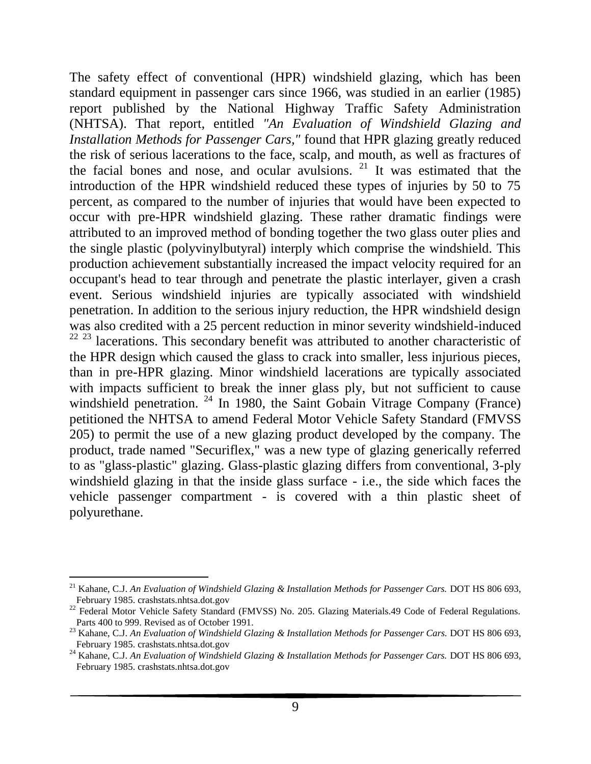The safety effect of conventional (HPR) windshield glazing, which has been standard equipment in passenger cars since 1966, was studied in an earlier (1985) report published by the National Highway Traffic Safety Administration (NHTSA). That report, entitled *"An Evaluation of Windshield Glazing and Installation Methods for Passenger Cars,"* found that HPR glazing greatly reduced the risk of serious lacerations to the face, scalp, and mouth, as well as fractures of the facial bones and nose, and ocular avulsions. <sup>21</sup> It was estimated that the introduction of the HPR windshield reduced these types of injuries by 50 to 75 percent, as compared to the number of injuries that would have been expected to occur with pre-HPR windshield glazing. These rather dramatic findings were attributed to an improved method of bonding together the two glass outer plies and the single plastic (polyvinylbutyral) interply which comprise the windshield. This production achievement substantially increased the impact velocity required for an occupant's head to tear through and penetrate the plastic interlayer, given a crash event. Serious windshield injuries are typically associated with windshield penetration. In addition to the serious injury reduction, the HPR windshield design was also credited with a 25 percent reduction in minor severity windshield-induced<br><sup>22–23</sup> lacerations. This secondary benefit was attributed to another characteristic of lacerations. This secondary benefit was attributed to another characteristic of the HPR design which caused the glass to crack into smaller, less injurious pieces, than in pre-HPR glazing. Minor windshield lacerations are typically associated with impacts sufficient to break the inner glass ply, but not sufficient to cause windshield penetration.  $24 \text{ In } 1980$ , the Saint Gobain Vitrage Company (France) petitioned the NHTSA to amend Federal Motor Vehicle Safety Standard (FMVSS 205) to permit the use of a new glazing product developed by the company. The product, trade named "Securiflex," was a new type of glazing generically referred to as "glass-plastic" glazing. Glass-plastic glazing differs from conventional, 3-ply windshield glazing in that the inside glass surface - i.e., the side which faces the vehicle passenger compartment - is covered with a thin plastic sheet of polyurethane.

l

<sup>&</sup>lt;sup>21</sup> Kahane, C.J. An Evaluation of Windshield Glazing & Installation Methods for Passenger Cars. DOT HS 806 693, February 1985. crashstats.nhtsa.dot.gov

<sup>&</sup>lt;sup>22</sup> Federal Motor Vehicle Safety Standard (FMVSS) No. 205. Glazing Materials.49 Code of Federal Regulations. Parts 400 to 999. Revised as of October 1991.

<sup>&</sup>lt;sup>23</sup> Kahane, C.J. An Evaluation of Windshield Glazing & Installation Methods for Passenger Cars. DOT HS 806 693, February 1985. crashstats.nhtsa.dot.gov

<sup>&</sup>lt;sup>24</sup> Kahane, C.J. *An Evaluation of Windshield Glazing & Installation Methods for Passenger Cars.* DOT HS 806 693, February 1985. crashstats.nhtsa.dot.gov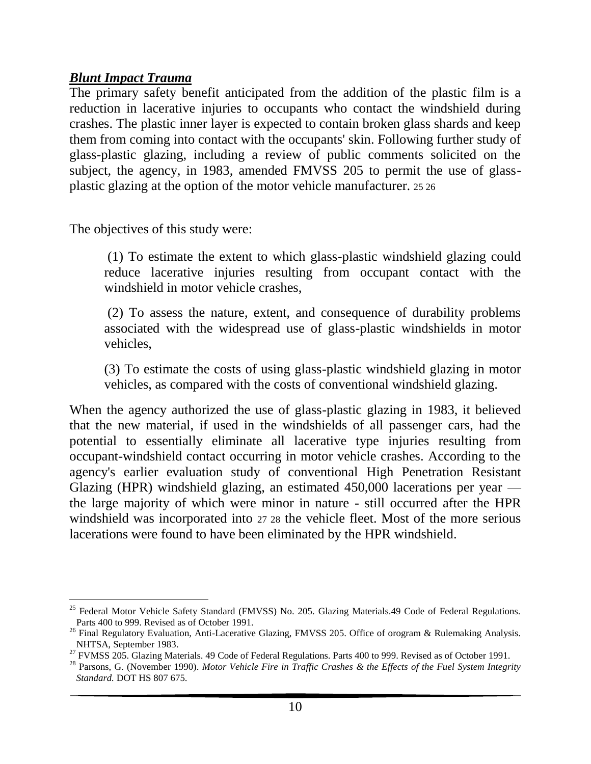#### *Blunt Impact Trauma*

 $\overline{a}$ 

The primary safety benefit anticipated from the addition of the plastic film is a reduction in lacerative injuries to occupants who contact the windshield during crashes. The plastic inner layer is expected to contain broken glass shards and keep them from coming into contact with the occupants' skin. Following further study of glass-plastic glazing, including a review of public comments solicited on the subject, the agency, in 1983, amended FMVSS 205 to permit the use of glassplastic glazing at the option of the motor vehicle manufacturer. 25 26

The objectives of this study were:

(1) To estimate the extent to which glass-plastic windshield glazing could reduce lacerative injuries resulting from occupant contact with the windshield in motor vehicle crashes,

(2) To assess the nature, extent, and consequence of durability problems associated with the widespread use of glass-plastic windshields in motor vehicles,

(3) To estimate the costs of using glass-plastic windshield glazing in motor vehicles, as compared with the costs of conventional windshield glazing.

When the agency authorized the use of glass-plastic glazing in 1983, it believed that the new material, if used in the windshields of all passenger cars, had the potential to essentially eliminate all lacerative type injuries resulting from occupant-windshield contact occurring in motor vehicle crashes. According to the agency's earlier evaluation study of conventional High Penetration Resistant Glazing (HPR) windshield glazing, an estimated 450,000 lacerations per year the large majority of which were minor in nature - still occurred after the HPR windshield was incorporated into 27 28 the vehicle fleet. Most of the more serious lacerations were found to have been eliminated by the HPR windshield.

<sup>&</sup>lt;sup>25</sup> Federal Motor Vehicle Safety Standard (FMVSS) No. 205. Glazing Materials.49 Code of Federal Regulations. Parts 400 to 999. Revised as of October 1991.

<sup>&</sup>lt;sup>26</sup> Final Regulatory Evaluation, Anti-Lacerative Glazing, FMVSS 205. Office of orogram & Rulemaking Analysis. NHTSA, September 1983.

<sup>&</sup>lt;sup>27</sup> FVMSS 205. Glazing Materials. 49 Code of Federal Regulations. Parts 400 to 999. Revised as of October 1991.

<sup>28</sup> Parsons, G. (November 1990). *Motor Vehicle Fire in Traffic Crashes & the Effects of the Fuel System Integrity Standard.* DOT HS 807 675.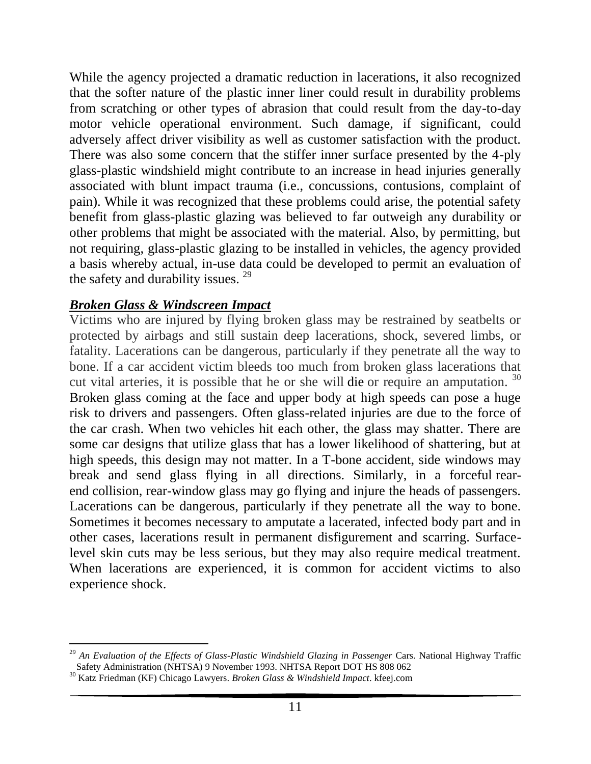While the agency projected a dramatic reduction in lacerations, it also recognized that the softer nature of the plastic inner liner could result in durability problems from scratching or other types of abrasion that could result from the day-to-day motor vehicle operational environment. Such damage, if significant, could adversely affect driver visibility as well as customer satisfaction with the product. There was also some concern that the stiffer inner surface presented by the 4-ply glass-plastic windshield might contribute to an increase in head injuries generally associated with blunt impact trauma (i.e., concussions, contusions, complaint of pain). While it was recognized that these problems could arise, the potential safety benefit from glass-plastic glazing was believed to far outweigh any durability or other problems that might be associated with the material. Also, by permitting, but not requiring, glass-plastic glazing to be installed in vehicles, the agency provided a basis whereby actual, in-use data could be developed to permit an evaluation of the safety and durability issues.  $29$ 

### *Broken Glass & Windscreen Impact*

Victims who are injured by flying broken glass may be restrained by seatbelts or protected by airbags and still sustain deep lacerations, shock, severed limbs, or fatality. Lacerations can be dangerous, particularly if they penetrate all the way to bone. If a car accident victim bleeds too much from broken glass lacerations that cut vital arteries, it is possible that he or she will [die](https://www.kfeej.com/fatal-car-accidents.html) or require an amputation. <sup>30</sup> Broken glass coming at the face and upper body at high speeds can pose a huge risk to drivers and passengers. Often glass-related injuries are due to the force of the car crash. When two vehicles hit each other, the glass may shatter. There are some car designs that utilize glass that has a lower likelihood of shattering, but at high speeds, this design may not matter. In a T-bone accident, side windows may break and send glass flying in all directions. Similarly, in a forceful [rear](https://www.kfeej.com/rear-end-collisions.html)[end](https://www.kfeej.com/rear-end-collisions.html) collision, rear-window glass may go flying and injure the heads of passengers. Lacerations can be dangerous, particularly if they penetrate all the way to bone. Sometimes it becomes necessary to amputate a lacerated, infected body part and in other cases, lacerations result in permanent disfigurement and scarring. Surfacelevel skin cuts may be less serious, but they may also require medical treatment. When lacerations are experienced, it is common for accident victims to also experience shock.

l <sup>29</sup> An Evaluation of the Effects of Glass-Plastic Windshield Glazing in Passenger Cars. National Highway Traffic Safety Administration (NHTSA) 9 November 1993. NHTSA Report DOT HS 808 062

<sup>30</sup> Katz Friedman (KF) Chicago Lawyers. *Broken Glass & Windshield Impact*. kfeej.com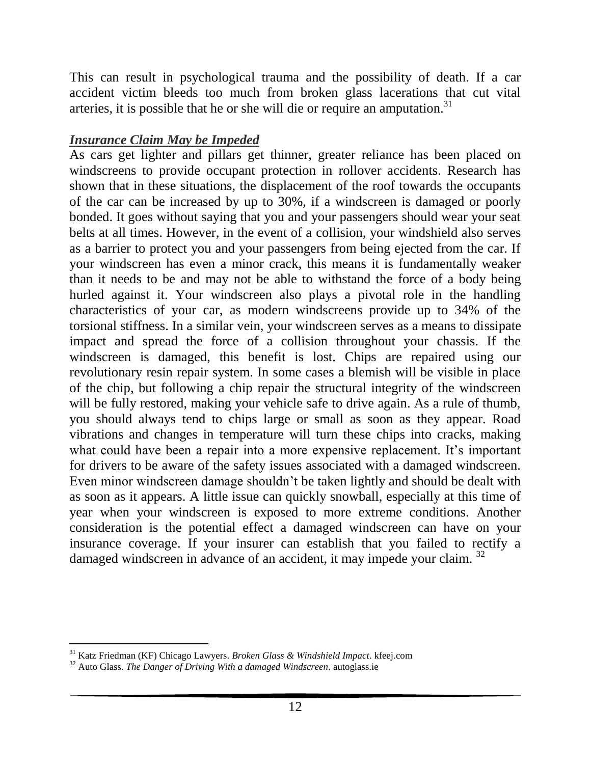This can result in psychological trauma and the possibility of death. If a car accident victim bleeds too much from broken glass lacerations that cut vital arteries, it is possible that he or she will [die](https://www.kfeej.com/fatal-car-accidents.html) or require an amputation.<sup>31</sup>

## *Insurance Claim May be Impeded*

As cars get lighter and pillars get thinner, greater reliance has been placed on windscreens to provide occupant protection in rollover accidents. Research has shown that in these situations, the displacement of the roof towards the occupants of the car can be increased by up to 30%, if a windscreen is damaged or poorly bonded. It goes without saying that you and your passengers should wear your seat belts at all times. However, in the event of a collision, your windshield also serves as a barrier to protect you and your passengers from being ejected from the car. If your windscreen has even a minor crack, this means it is fundamentally weaker than it needs to be and may not be able to withstand the force of a body being hurled against it. Your windscreen also plays a pivotal role in the handling characteristics of your car, as modern windscreens provide up to 34% of the torsional stiffness. In a similar vein, your windscreen serves as a means to dissipate impact and spread the force of a collision throughout your chassis. If the windscreen is damaged, this benefit is lost. Chips are repaired using our revolutionary resin repair system. In some cases a blemish will be visible in place of the chip, but following a chip repair the structural integrity of the windscreen will be fully restored, making your vehicle safe to drive again. As a rule of thumb, you should always tend to chips large or small as soon as they appear. Road vibrations and changes in temperature will turn these chips into cracks, making what could have been a repair into a more expensive replacement. It's important for drivers to be aware of the safety issues associated with a damaged windscreen. Even minor windscreen damage shouldn't be taken lightly and should be dealt with as soon as it appears. A little issue can quickly snowball, especially at this time of year when your windscreen is exposed to more extreme conditions. Another consideration is the potential effect a damaged windscreen can have on your insurance coverage. If your insurer can establish that you failed to rectify a damaged windscreen in advance of an accident, it may impede your claim.<sup>32</sup>

l <sup>31</sup> Katz Friedman (KF) Chicago Lawyers. *Broken Glass & Windshield Impact*. kfeej.com

<sup>32</sup> Auto Glass. *The Danger of Driving With a damaged Windscreen*. autoglass.ie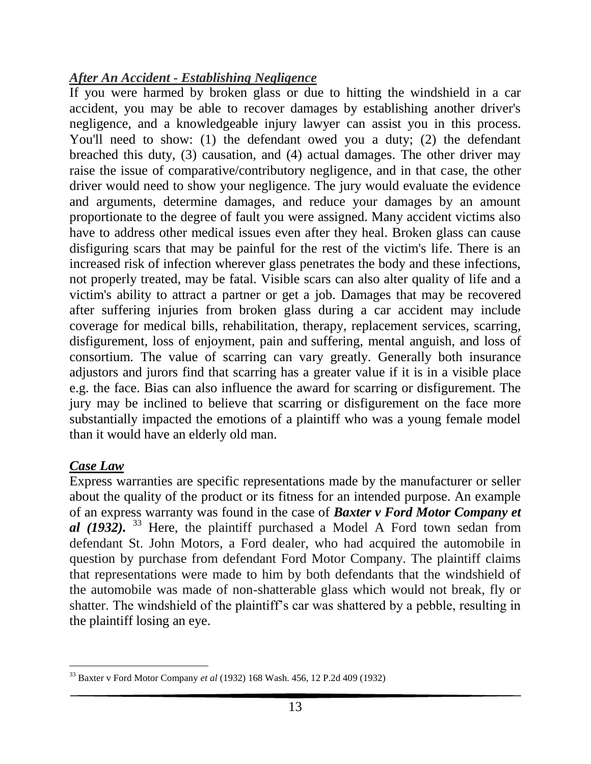## *After An Accident - Establishing Negligence*

If you were harmed by broken glass or due to hitting the windshield in a car accident, you may be able to recover damages by establishing another driver's negligence, and a knowledgeable injury lawyer can assist you in this process. You'll need to show: (1) the defendant owed you a duty; (2) the defendant breached this duty, (3) causation, and (4) actual damages. The other driver may raise the issue of comparative/contributory negligence, and in that case, the other driver would need to show your negligence. The jury would evaluate the evidence and arguments, determine damages, and reduce your damages by an amount proportionate to the degree of fault you were assigned. Many accident victims also have to address other medical issues even after they heal. Broken glass can cause disfiguring scars that may be painful for the rest of the victim's life. There is an increased risk of infection wherever glass penetrates the body and these infections, not properly treated, may be fatal. Visible scars can also alter quality of life and a victim's ability to attract a partner or get a job. Damages that may be recovered after suffering injuries from broken glass during a car accident may include coverage for medical bills, rehabilitation, therapy, replacement services, scarring, disfigurement, loss of enjoyment, pain and [suffering,](https://www.kfeej.com/proving-pain-and-suffering.html) mental anguish, and loss of consortium. The value of scarring can vary greatly. Generally both insurance adjustors and jurors find that scarring has a greater value if it is in a visible place e.g. the face. Bias can also influence the award for scarring or disfigurement. The jury may be inclined to believe that scarring or disfigurement on the face more substantially impacted the emotions of a plaintiff who was a young female model than it would have an elderly old man.

## *Case Law*

Express warranties are specific representations made by the manufacturer or seller about the quality of the product or its fitness for an intended purpose. An example of an express warranty was found in the case of *Baxter v Ford Motor Company et al* (1932). <sup>33</sup> Here, the plaintiff purchased a Model A Ford town sedan from defendant St. John Motors, a Ford dealer, who had acquired the automobile in question by purchase from defendant Ford Motor Company. The plaintiff claims that representations were made to him by both defendants that the windshield of the automobile was made of non-shatterable glass which would not break, fly or shatter. The windshield of the plaintiff's car was shattered by a pebble, resulting in the plaintiff losing an eye.

 $\overline{a}$ <sup>33</sup> Baxter v Ford Motor Company *et al* (1932) 168 Wash. 456, 12 P.2d 409 (1932)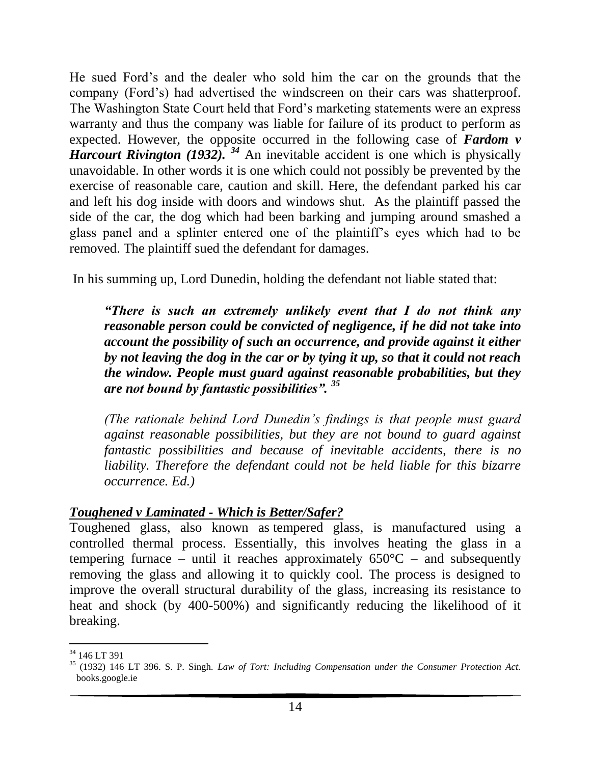He sued Ford's and the dealer who sold him the car on the grounds that the company (Ford's) had advertised the windscreen on their cars was shatterproof. The Washington State Court held that Ford's marketing statements were an express warranty and thus the company was liable for failure of its product to perform as expected. However, the opposite occurred in the following case of *Fardom v Harcourt Rivington (1932).* <sup>34</sup> An inevitable accident is one which is physically unavoidable. In other words it is one which could not possibly be prevented by the exercise of reasonable care, caution and skill. Here, the defendant parked his car and left his dog inside with doors and windows shut. As the plaintiff passed the side of the car, the dog which had been barking and jumping around smashed a glass panel and a splinter entered one of the plaintiff's eyes which had to be removed. The plaintiff sued the defendant for damages.

In his summing up, Lord Dunedin, holding the defendant not liable stated that:

*"There is such an extremely unlikely event that I do not think any reasonable person could be convicted of negligence, if he did not take into account the possibility of such an occurrence, and provide against it either by not leaving the dog in the car or by tying it up, so that it could not reach the window. People must guard against reasonable probabilities, but they are not bound by fantastic possibilities". <sup>35</sup>*

*(The rationale behind Lord Dunedin's findings is that people must guard against reasonable possibilities, but they are not bound to guard against fantastic possibilities and because of inevitable accidents, there is no liability. Therefore the defendant could not be held liable for this bizarre occurrence. Ed.)*

### *Toughened v Laminated - Which is Better/Safer?*

Toughened glass, also known as tempered glass, is manufactured using a controlled thermal process. Essentially, this involves heating the glass in a tempering furnace – until it reaches approximately  $650^{\circ}$ C – and subsequently removing the glass and allowing it to quickly cool. The process is designed to improve the overall structural durability of the glass, increasing its resistance to heat and shock (by 400-500%) and significantly reducing the likelihood of it breaking.

l <sup>34</sup> 146 LT 391

<sup>35</sup> (1932) 146 LT 396. S. P. Singh. *Law of Tort: Including Compensation under the Consumer Protection Act.* books.google.ie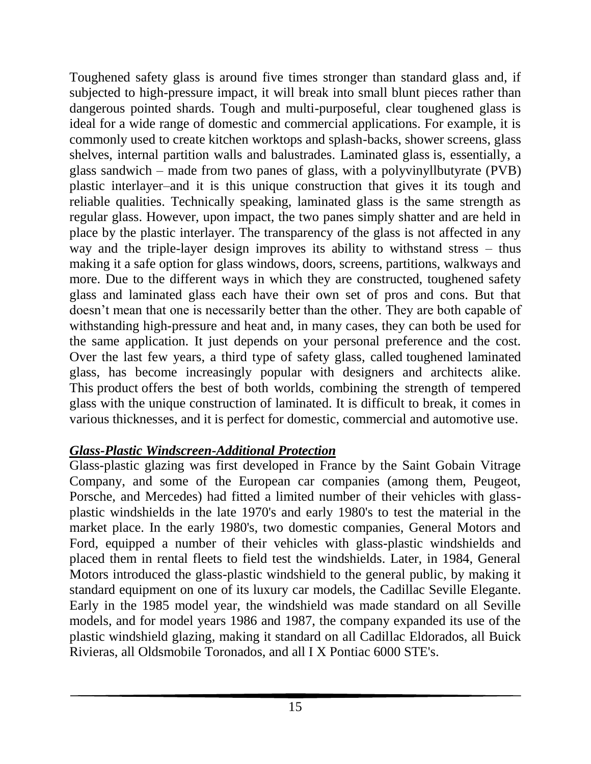Toughened safety glass is around five times stronger than standard glass and, if subjected to high-pressure impact, it will break into small blunt pieces rather than dangerous pointed shards. Tough and multi-purposeful, clear toughened glass is ideal for a wide range of domestic and commercial applications. For example, it is commonly used to create kitchen worktops and splash-backs, shower screens, glass shelves, internal partition walls and balustrades. Laminated glass is, essentially, a glass sandwich – made from two panes of glass, with a polyvinyllbutyrate (PVB) plastic interlayer–and it is this unique construction that gives it its tough and reliable qualities. Technically speaking, laminated glass is the same strength as regular glass. However, upon impact, the two panes simply shatter and are held in place by the plastic interlayer. The transparency of the glass is not affected in any way and the triple-layer design improves its ability to withstand stress – thus making it a safe option for glass windows, doors, screens, partitions, walkways and more. Due to the different ways in which they are constructed, toughened safety glass and laminated glass each have their own set of pros and cons. But that doesn't mean that one is necessarily better than the other. They are both capable of withstanding high-pressure and heat and, in many cases, they can both be used for the same application. It just depends on your personal preference and the cost. Over the last few years, a third type of safety glass, called toughened laminated glass, has become increasingly popular with designers and architects alike. This [product](https://www.theglasswarehouse.co.uk/glass-product/toughened-laminated-glass/) offers the best of both worlds, combining the strength of tempered glass with the unique construction of laminated. It is difficult to break, it comes in various thicknesses, and it is perfect for domestic, commercial and automotive use.

## *Glass-Plastic Windscreen-Additional Protection*

Glass-plastic glazing was first developed in France by the Saint Gobain Vitrage Company, and some of the European car companies (among them, Peugeot, Porsche, and Mercedes) had fitted a limited number of their vehicles with glassplastic windshields in the late 1970's and early 1980's to test the material in the market place. In the early 1980's, two domestic companies, General Motors and Ford, equipped a number of their vehicles with glass-plastic windshields and placed them in rental fleets to field test the windshields. Later, in 1984, General Motors introduced the glass-plastic windshield to the general public, by making it standard equipment on one of its luxury car models, the Cadillac Seville Elegante. Early in the 1985 model year, the windshield was made standard on all Seville models, and for model years 1986 and 1987, the company expanded its use of the plastic windshield glazing, making it standard on all Cadillac Eldorados, all Buick Rivieras, all Oldsmobile Toronados, and all I X Pontiac 6000 STE's.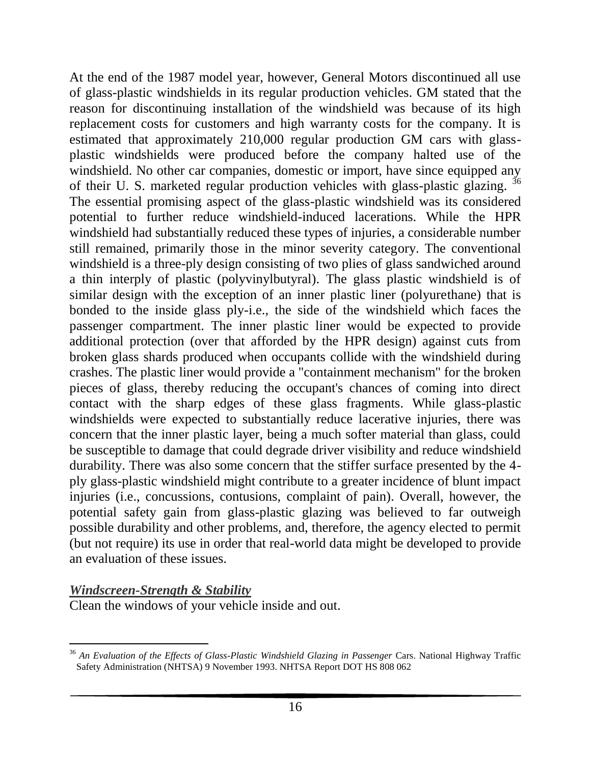At the end of the 1987 model year, however, General Motors discontinued all use of glass-plastic windshields in its regular production vehicles. GM stated that the reason for discontinuing installation of the windshield was because of its high replacement costs for customers and high warranty costs for the company. It is estimated that approximately 210,000 regular production GM cars with glassplastic windshields were produced before the company halted use of the windshield. No other car companies, domestic or import, have since equipped any of their U. S. marketed regular production vehicles with glass-plastic glazing. <sup>36</sup> The essential promising aspect of the glass-plastic windshield was its considered potential to further reduce windshield-induced lacerations. While the HPR windshield had substantially reduced these types of injuries, a considerable number still remained, primarily those in the minor severity category. The conventional windshield is a three-ply design consisting of two plies of glass sandwiched around a thin interply of plastic (polyvinylbutyral). The glass plastic windshield is of similar design with the exception of an inner plastic liner (polyurethane) that is bonded to the inside glass ply-i.e., the side of the windshield which faces the passenger compartment. The inner plastic liner would be expected to provide additional protection (over that afforded by the HPR design) against cuts from broken glass shards produced when occupants collide with the windshield during crashes. The plastic liner would provide a "containment mechanism" for the broken pieces of glass, thereby reducing the occupant's chances of coming into direct contact with the sharp edges of these glass fragments. While glass-plastic windshields were expected to substantially reduce lacerative injuries, there was concern that the inner plastic layer, being a much softer material than glass, could be susceptible to damage that could degrade driver visibility and reduce windshield durability. There was also some concern that the stiffer surface presented by the 4 ply glass-plastic windshield might contribute to a greater incidence of blunt impact injuries (i.e., concussions, contusions, complaint of pain). Overall, however, the potential safety gain from glass-plastic glazing was believed to far outweigh possible durability and other problems, and, therefore, the agency elected to permit (but not require) its use in order that real-world data might be developed to provide an evaluation of these issues.

#### *Windscreen-Strength & Stability*

Clean the windows of your vehicle inside and out.

l <sup>36</sup> An Evaluation of the Effects of Glass-Plastic Windshield Glazing in Passenger Cars. National Highway Traffic Safety Administration (NHTSA) 9 November 1993. NHTSA Report DOT HS 808 062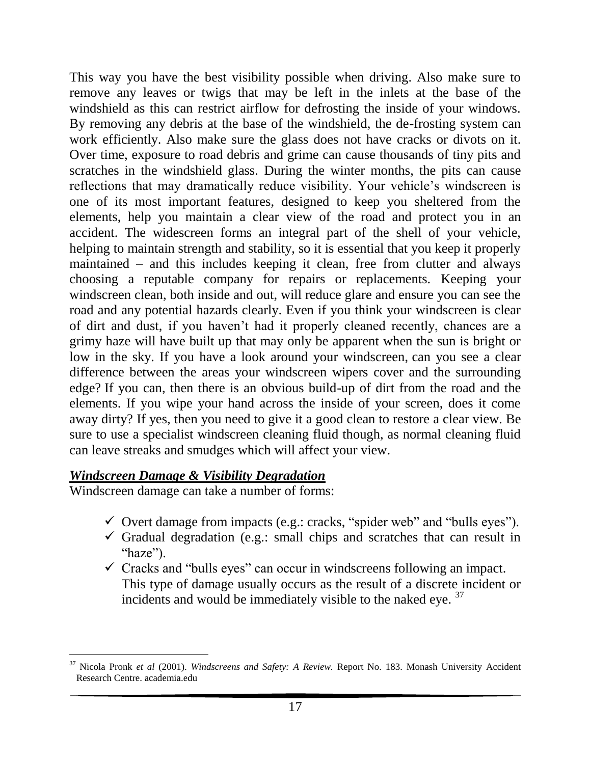This way you have the best visibility possible when driving. Also make sure to remove any leaves or twigs that may be left in the inlets at the base of the windshield as this can restrict airflow for defrosting the inside of your windows. By removing any debris at the base of the windshield, the de-frosting system can work efficiently. Also make sure the glass does not have cracks or divots on it. Over time, exposure to road debris and grime can cause thousands of tiny pits and scratches in the windshield glass. During the winter months, the pits can cause reflections that may dramatically reduce visibility. Your vehicle's windscreen is one of its most important features, designed to keep you sheltered from the elements, help you maintain a clear view of the road and protect you in an accident. The widescreen forms an integral part of the shell of your vehicle, helping to maintain strength and stability, so it is essential that you keep it properly maintained – and this includes keeping it clean, free from clutter and always choosing a reputable company for repairs or replacements. Keeping your windscreen clean, both inside and out, will reduce glare and ensure you can see the road and any potential hazards clearly. Even if you think your windscreen is clear of dirt and dust, if you haven't had it properly cleaned recently, chances are a grimy haze will have built up that may only be apparent when the sun is bright or low in the sky. If you have a look around your windscreen, can you see a clear difference between the areas your windscreen wipers cover and the surrounding edge? If you can, then there is an obvious build-up of dirt from the road and the elements. If you wipe your hand across the inside of your screen, does it come away dirty? If yes, then you need to give it a good clean to restore a clear view. Be sure to use a specialist windscreen cleaning fluid though, as normal cleaning fluid can leave streaks and smudges which will affect your view.

#### *Windscreen Damage & Visibility Degradation*

Windscreen damage can take a number of forms:

- $\checkmark$  Overt damage from impacts (e.g.: cracks, "spider web" and "bulls eyes").
- $\checkmark$  Gradual degradation (e.g.: small chips and scratches that can result in "haze").
- $\checkmark$  Cracks and "bulls eyes" can occur in windscreens following an impact. This type of damage usually occurs as the result of a discrete incident or incidents and would be immediately visible to the naked eye. <sup>37</sup>

l <sup>37</sup> Nicola Pronk *et al* (2001). *Windscreens and Safety: A Review.* Report No. 183. Monash University Accident Research Centre. academia.edu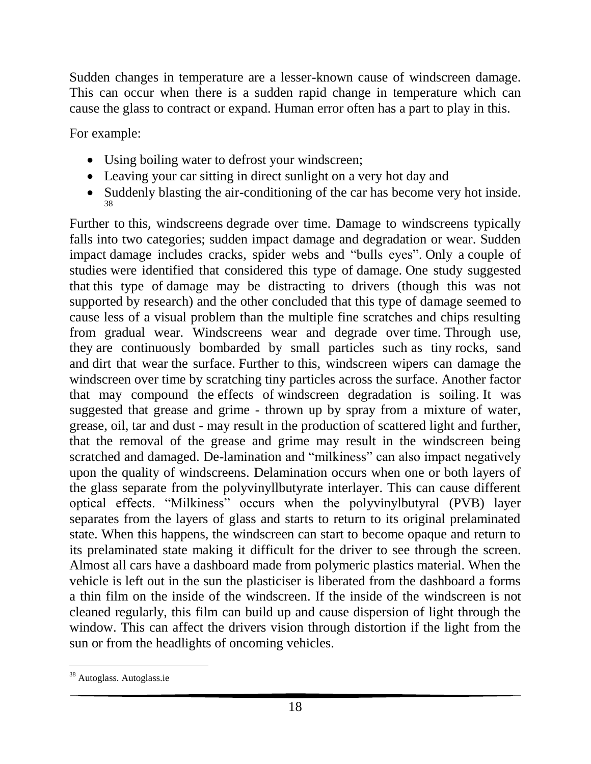Sudden changes in temperature are a lesser-known cause of windscreen damage. This can occur when there is a sudden rapid change in temperature which can cause the glass to contract or expand. Human error often has a part to play in this.

For example:

- Using boiling water to defrost your windscreen;
- Leaving your car sitting in direct sunlight on a very hot day and
- Suddenly blasting the air-conditioning of the car has become very hot inside. 38

Further to this, windscreens degrade over time. Damage to windscreens typically falls into two categories; sudden impact damage and degradation or wear. Sudden impact damage includes cracks, spider webs and "bulls eyes". Only a couple of studies were identified that considered this type of damage. One study suggested that this type of damage may be distracting to drivers (though this was not supported by research) and the other concluded that this type of damage seemed to cause less of a visual problem than the multiple fine scratches and chips resulting from gradual wear. Windscreens wear and degrade over time. Through use, they are continuously bombarded by small particles such as tiny rocks, sand and dirt that wear the surface. Further to this, windscreen wipers can damage the windscreen over time by scratching tiny particles across the surface. Another factor that may compound the effects of windscreen degradation is soiling. It was suggested that grease and grime - thrown up by spray from a mixture of water, grease, oil, tar and dust - may result in the production of scattered light and further, that the removal of the grease and grime may result in the windscreen being scratched and damaged. De-lamination and "milkiness" can also impact negatively upon the quality of windscreens. Delamination occurs when one or both layers of the glass separate from the polyvinyllbutyrate interlayer. This can cause different optical effects. "Milkiness" occurs when the polyvinylbutyral (PVB) layer separates from the layers of glass and starts to return to its original prelaminated state. When this happens, the windscreen can start to become opaque and return to its prelaminated state making it difficult for the driver to see through the screen. Almost all cars have a dashboard made from polymeric plastics material. When the vehicle is left out in the sun the plasticiser is liberated from the dashboard a forms a thin film on the inside of the windscreen. If the inside of the windscreen is not cleaned regularly, this film can build up and cause dispersion of light through the window. This can affect the drivers vision through distortion if the light from the sun or from the headlights of oncoming vehicles.

 $\overline{a}$ <sup>38</sup> Autoglass. Autoglass.ie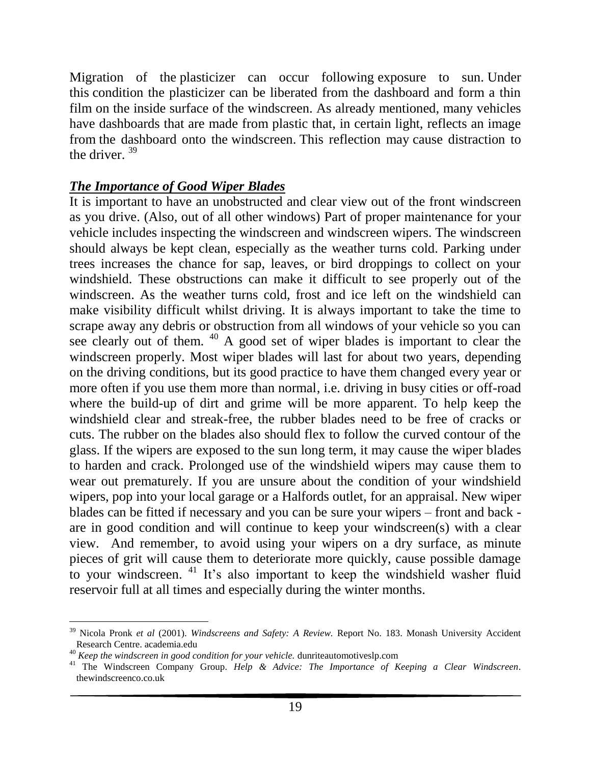Migration of the plasticizer can occur following exposure to sun. Under this condition the plasticizer can be liberated from the dashboard and form a thin film on the inside surface of the windscreen. As already mentioned, many vehicles have dashboards that are made from plastic that, in certain light, reflects an image from the dashboard onto the windscreen. This reflection may cause distraction to the driver.  $39$ 

#### *The Importance of Good Wiper Blades*

It is important to have an unobstructed and clear view out of the front windscreen as you drive. (Also, out of all other windows) Part of proper maintenance for your vehicle includes inspecting the windscreen and windscreen wipers. The windscreen should always be kept clean, especially as the weather turns cold. Parking under trees increases the chance for sap, leaves, or bird droppings to collect on your windshield. These obstructions can make it difficult to see properly out of the windscreen. As the weather turns cold, frost and ice left on the windshield can make visibility difficult whilst driving. It is always important to take the time to scrape away any debris or obstruction from all windows of your vehicle so you can see clearly out of them. <sup>40</sup> A good set of wiper blades is important to clear the windscreen properly. Most wiper blades will last for about two years, depending on the driving conditions, but its good practice to have them changed every year or more often if you use them more than normal, i.e. driving in busy cities or off-road where the build-up of dirt and grime will be more apparent. To help keep the windshield clear and streak-free, the rubber blades need to be free of cracks or cuts. The rubber on the blades also should flex to follow the curved contour of the glass. If the wipers are exposed to the sun long term, it may cause the wiper blades to harden and crack. Prolonged use of the windshield wipers may cause them to wear out prematurely. If you are unsure about the condition of your windshield wipers, pop into your local garage or a Halfords outlet, for an appraisal. New wiper blades can be fitted if necessary and you can be sure your wipers – front and back are in good condition and will continue to keep your windscreen(s) with a clear view. And remember, to avoid using your wipers on a dry surface, as minute pieces of grit will cause them to deteriorate more quickly, cause possible damage to your windscreen. <sup>41</sup> It's also important to keep the windshield washer fluid reservoir full at all times and especially during the winter months.

 $\overline{a}$ <sup>39</sup> Nicola Pronk *et al* (2001). *Windscreens and Safety: A Review.* Report No. 183. Monash University Accident Research Centre. academia.edu

<sup>40</sup> *Keep the windscreen in good condition for your vehicle.* dunriteautomotiveslp.com

<sup>41</sup> The Windscreen Company Group. *Help & Advice: The Importance of Keeping a Clear Windscreen*. thewindscreenco.co.uk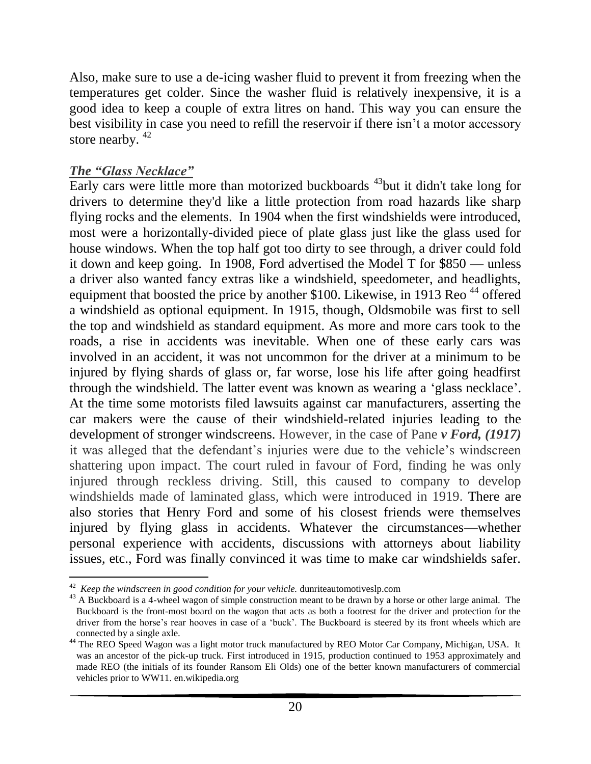Also, make sure to use a de-icing washer fluid to prevent it from freezing when the temperatures get colder. Since the washer fluid is relatively inexpensive, it is a good idea to keep a couple of extra litres on hand. This way you can ensure the best visibility in case you need to refill the reservoir if there isn't a motor accessory store nearby.  $42$ 

## *The "Glass Necklace"*

l

Early cars were little more than motorized buckboards <sup>43</sup>but it didn't take long for drivers to determine they'd like a little protection from road hazards like sharp flying rocks and the elements. In 1904 when the first windshields were introduced, most were a horizontally-divided piece of plate glass just like the glass used for house windows. When the top half got too dirty to see through, a driver could fold it down and keep going. In 1908, Ford advertised the Model T for \$850 — unless a driver also wanted fancy extras like a windshield, speedometer, and headlights, equipment that boosted the price by another \$100. Likewise, in 1913 Reo <sup>44</sup> offered a windshield as optional equipment. In 1915, though, Oldsmobile was first to sell the top and windshield as standard equipment. As more and more cars took to the roads, a rise in accidents was inevitable. When one of these early cars was involved in an accident, it was not uncommon for the driver at a minimum to be injured by flying shards of glass or, far worse, lose his life after going headfirst through the windshield. The latter event was known as wearing a 'glass necklace'. At the time some motorists filed lawsuits against car manufacturers, asserting the car makers were the cause of their windshield-related injuries leading to the development of stronger windscreens. However, in the case of Pane *v Ford, (1917)*  it was alleged that the defendant's injuries were due to the vehicle's windscreen shattering upon impact. The court ruled in favour of Ford, finding he was only injured through reckless driving. Still, this caused to company to develop windshields made of laminated glass, which were introduced in 1919. There are also stories that Henry Ford and some of his closest friends were themselves injured by flying glass in accidents. Whatever the circumstances—whether personal experience with accidents, discussions with attorneys about liability issues, etc., Ford was finally convinced it was time to make car windshields safer.

<sup>42</sup> *Keep the windscreen in good condition for your vehicle.* dunriteautomotiveslp.com

<sup>&</sup>lt;sup>43</sup> A Buckboard is a 4-wheel wagon of simple construction meant to be drawn by a horse or other large animal. The Buckboard is the front-most board on the wagon that acts as both a footrest for the driver and protection for the driver from the horse's rear hooves in case of a 'buck'. The Buckboard is steered by its front wheels which are connected by a single axle.

<sup>&</sup>lt;sup>44</sup> The REO Speed Wagon was a light motor truck manufactured by REO Motor Car Company, Michigan, USA. It was an ancestor of the pick-up truck. First introduced in 1915, production continued to 1953 approximately and made REO (the initials of its founder Ransom Eli Olds) one of the better known manufacturers of commercial vehicles prior to WW11. en.wikipedia.org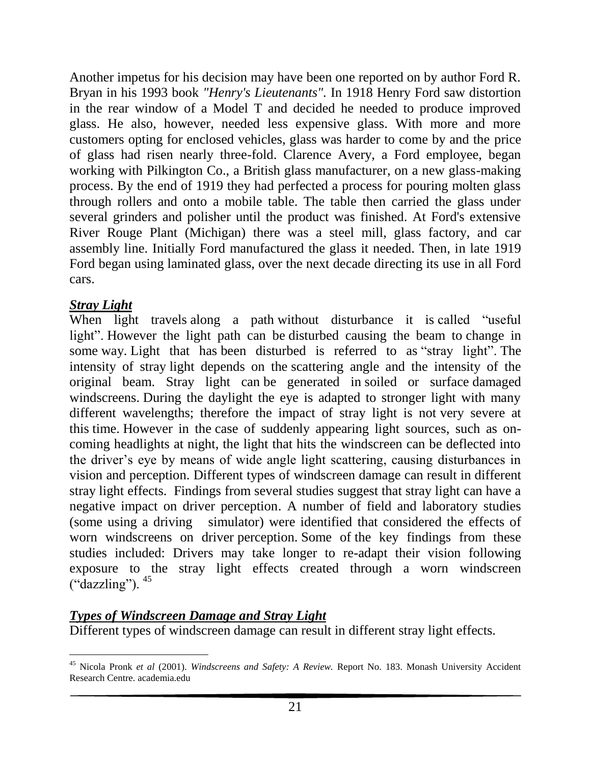Another impetus for his decision may have been one reported on by author Ford R. Bryan in his 1993 book *"Henry's Lieutenants".* In 1918 Henry Ford saw distortion in the rear window of a Model T and decided he needed to produce improved glass. He also, however, needed less expensive glass. With more and more customers opting for enclosed vehicles, glass was harder to come by and the price of glass had risen nearly three-fold. Clarence Avery, a Ford employee, began working with Pilkington Co., a British glass manufacturer, on a new glass-making process. By the end of 1919 they had perfected a process for pouring molten glass through rollers and onto a mobile table. The table then carried the glass under several grinders and polisher until the product was finished. At Ford's extensive River Rouge Plant (Michigan) there was a steel mill, glass factory, and car assembly line. Initially Ford manufactured the glass it needed. Then, in late 1919 Ford began using laminated glass, over the next decade directing its use in all Ford cars.

## *Stray Light*

When light travels along a path without disturbance it is called "useful" light". However the light path can be disturbed causing the beam to change in some way. Light that has been disturbed is referred to as "stray light". The intensity of stray light depends on the scattering angle and the intensity of the original beam. Stray light can be generated in soiled or surface damaged windscreens. During the daylight the eye is adapted to stronger light with many different wavelengths; therefore the impact of stray light is not very severe at this time. However in the case of suddenly appearing light sources, such as oncoming headlights at night, the light that hits the windscreen can be deflected into the driver's eye by means of wide angle light scattering, causing disturbances in vision and perception. Different types of windscreen damage can result in different stray light effects. Findings from several studies suggest that stray light can have a negative impact on driver perception. A number of field and laboratory studies (some using a driving simulator) were identified that considered the effects of worn windscreens on driver perception. Some of the key findings from these studies included: Drivers may take longer to re-adapt their vision following exposure to the stray light effects created through a worn windscreen  $("dazzling")$ .  $^{45}$ 

## *Types of Windscreen Damage and Stray Light*

Different types of windscreen damage can result in different stray light effects.

l <sup>45</sup> Nicola Pronk *et al* (2001). *Windscreens and Safety: A Review.* Report No. 183. Monash University Accident Research Centre. academia.edu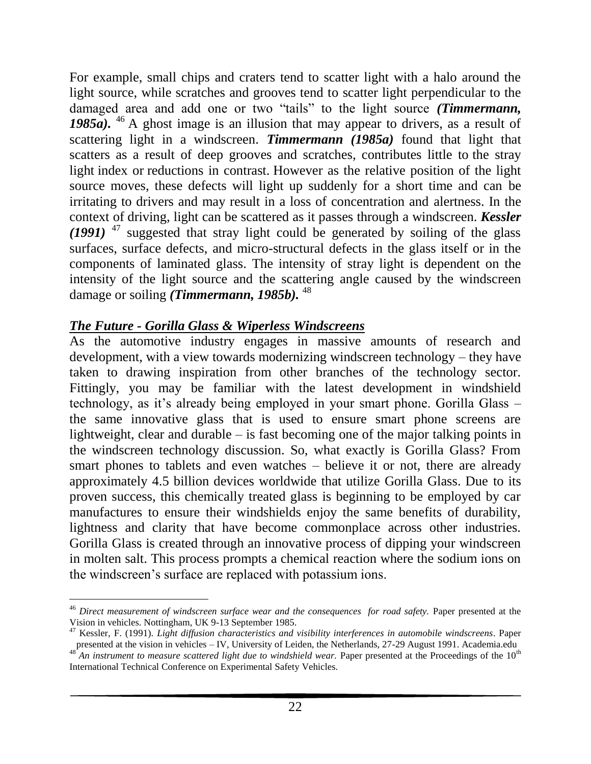For example, small chips and craters tend to scatter light with a halo around the light source, while scratches and grooves tend to scatter light perpendicular to the damaged area and add one or two "tails" to the light source *(Timmermann,*  1985a). <sup>46</sup> A ghost image is an illusion that may appear to drivers, as a result of scattering light in a windscreen. *Timmermann (1985a)* found that light that scatters as a result of deep grooves and scratches, contributes little to the stray light index or reductions in contrast. However as the relative position of the light source moves, these defects will light up suddenly for a short time and can be irritating to drivers and may result in a loss of concentration and alertness. In the context of driving, light can be scattered as it passes through a windscreen. *Kessler (1991)* <sup>47</sup> suggested that stray light could be generated by soiling of the glass surfaces, surface defects, and micro-structural defects in the glass itself or in the components of laminated glass. The intensity of stray light is dependent on the intensity of the light source and the scattering angle caused by the windscreen damage or soiling *(Timmermann, 1985b)*. <sup>48</sup>

### *The Future - Gorilla Glass & Wiperless Windscreens*

As the automotive industry engages in massive amounts of research and development, with a view towards modernizing windscreen technology – they have taken to drawing inspiration from other branches of the technology sector. Fittingly, you may be familiar with the latest development in windshield technology, as it's already being employed in your smart phone. Gorilla Glass – the same innovative glass that is used to ensure smart phone screens are lightweight, clear and durable – is fast becoming one of the major talking points in the windscreen technology discussion. So, what exactly is Gorilla Glass? From smart phones to tablets and even watches – believe it or not, there are already approximately 4.5 billion devices worldwide that utilize Gorilla Glass. Due to its proven success, this chemically treated glass is beginning to be employed by car manufactures to ensure their windshields enjoy the same benefits of durability, lightness and clarity that have become commonplace across other industries. Gorilla Glass is created through an innovative process of dipping your windscreen in molten salt. This process prompts a chemical reaction where the sodium ions on the windscreen's surface are replaced with potassium ions.

 $\overline{a}$ <sup>46</sup> *Direct measurement of windscreen surface wear and the consequences for road safety.* Paper presented at the Vision in vehicles. Nottingham, UK 9-13 September 1985.

<sup>47</sup> Kessler, F. (1991). *Light diffusion characteristics and visibility interferences in automobile windscreens*. Paper presented at the vision in vehicles – IV, University of Leiden, the Netherlands, 27-29 August 1991. Academia.edu<br><sup>48</sup> An instrument to magnum and the University of Leiden, the Netherlands, 27-29 August 1991. Academia.edu

An instrument to measure scattered light due to windshield wear. Paper presented at the Proceedings of the 10<sup>th</sup> International Technical Conference on Experimental Safety Vehicles.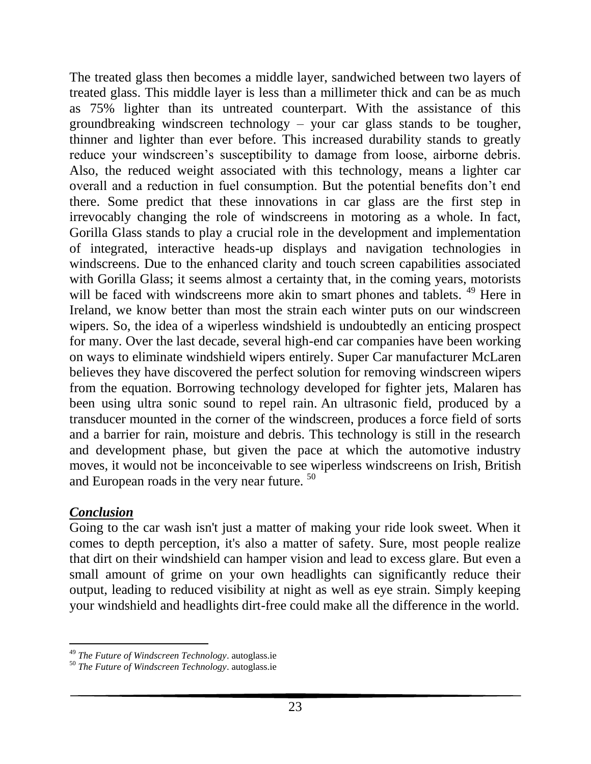The treated glass then becomes a middle layer, sandwiched between two layers of treated glass. This middle layer is less than a millimeter thick and can be as much as 75% lighter than its untreated counterpart. With the assistance of this groundbreaking windscreen technology – your car glass stands to be tougher, thinner and lighter than ever before. This increased durability stands to greatly reduce your windscreen's susceptibility to damage from loose, airborne debris. Also, the reduced weight associated with this technology, means a lighter car overall and a reduction in fuel consumption. But the potential benefits don't end there. Some predict that these innovations in car glass are the first step in irrevocably changing the role of windscreens in motoring as a whole. In fact, Gorilla Glass stands to play a crucial role in the development and implementation of integrated, interactive heads-up displays and navigation technologies in windscreens. Due to the enhanced clarity and touch screen capabilities associated with Gorilla Glass; it seems almost a certainty that, in the coming years, motorists will be faced with windscreens more akin to smart phones and tablets. <sup>49</sup> Here in Ireland, we know better than most the strain each winter puts on our windscreen wipers. So, the idea of a wiperless windshield is undoubtedly an enticing prospect for many. Over the last decade, several high-end car companies have been working on ways to eliminate windshield wipers entirely. Super Car manufacturer McLaren believes they have discovered the perfect solution for removing windscreen wipers from the equation. Borrowing technology developed for fighter jets, Malaren has been using ultra sonic sound to repel rain. An ultrasonic field, produced by a transducer mounted in the corner of the windscreen, produces a force field of sorts and a barrier for rain, moisture and debris. This technology is still in the research and development phase, but given the pace at which the automotive industry moves, it would not be inconceivable to see wiperless windscreens on Irish, British and European roads in the very near future. <sup>50</sup>

### *Conclusion*

l

Going to the car wash isn't just a matter of making your ride look sweet. When it comes to depth perception, it's also a matter of safety. Sure, most people realize that dirt on their windshield can hamper vision and lead to excess glare. But even a small amount of grime on your own headlights can significantly reduce their output, leading to reduced visibility at night as well as eye strain. Simply keeping your windshield and headlights dirt-free could make all the difference in the world.

<sup>49</sup> *The Future of Windscreen Technology*. autoglass.ie

<sup>50</sup> *The Future of Windscreen Technology*. autoglass.ie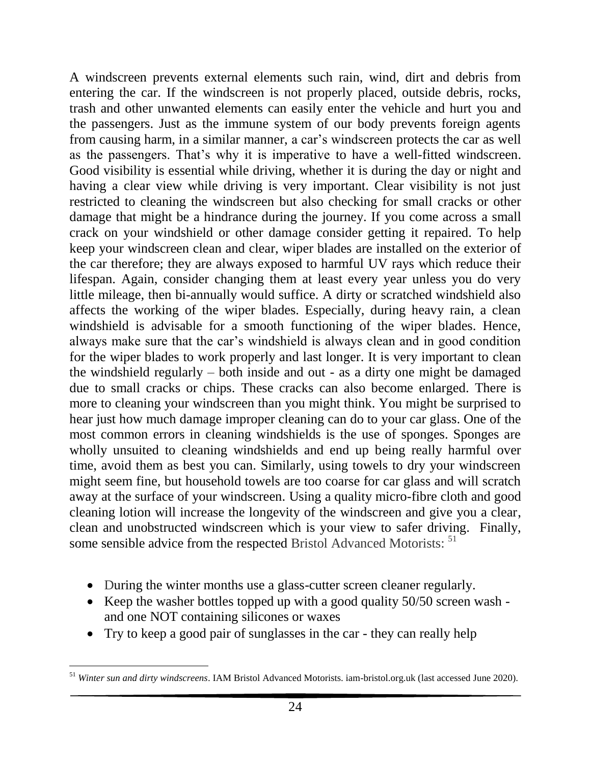A windscreen prevents external elements such rain, wind, dirt and debris from entering the car. If the windscreen is not properly placed, outside debris, rocks, trash and other unwanted elements can easily enter the vehicle and hurt you and the passengers. Just as the immune system of our body prevents foreign agents from causing harm, in a similar manner, a car's windscreen protects the car as well as the passengers. That's why it is imperative to have a well-fitted windscreen. Good visibility is essential while driving, whether it is during the day or night and having a clear view while driving is very important. Clear visibility is not just restricted to cleaning the windscreen but also checking for small cracks or other damage that might be a hindrance during the journey. If you come across a small crack on your windshield or other damage consider getting it repaired. To help keep your windscreen clean and clear, wiper blades are installed on the exterior of the car therefore; they are always exposed to harmful UV rays which reduce their lifespan. Again, consider changing them at least every year unless you do very little mileage, then bi-annually would suffice. A dirty or scratched windshield also affects the working of the wiper blades. Especially, during heavy rain, a clean windshield is advisable for a smooth functioning of the wiper blades. Hence, always make sure that the car's windshield is always clean and in good condition for the wiper blades to work properly and last longer. It is very important to clean the windshield regularly – both inside and out - as a dirty one might be damaged due to small cracks or chips. These cracks can also become enlarged. There is more to cleaning your windscreen than you might think. You might be surprised to hear just how much damage improper cleaning can do to your car glass. One of the most common errors in cleaning windshields is the use of sponges. Sponges are wholly unsuited to cleaning windshields and end up being really harmful over time, avoid them as best you can. Similarly, using towels to dry your windscreen might seem fine, but household towels are too coarse for car glass and will scratch away at the surface of your windscreen. Using a quality micro-fibre cloth and good cleaning lotion will increase the longevity of the windscreen and give you a clear, clean and unobstructed windscreen which is your view to safer driving. Finally, some sensible advice from the respected Bristol Advanced Motorists: <sup>51</sup>

- During the winter months use a glass-cutter screen cleaner regularly.
- Keep the washer bottles topped up with a good quality  $50/50$  screen wash and one NOT containing silicones or waxes
- Try to keep a good pair of sunglasses in the car they can really help

 $\overline{a}$ <sup>51</sup> *Winter sun and dirty windscreens*. IAM Bristol Advanced Motorists. iam-bristol.org.uk (last accessed June 2020).